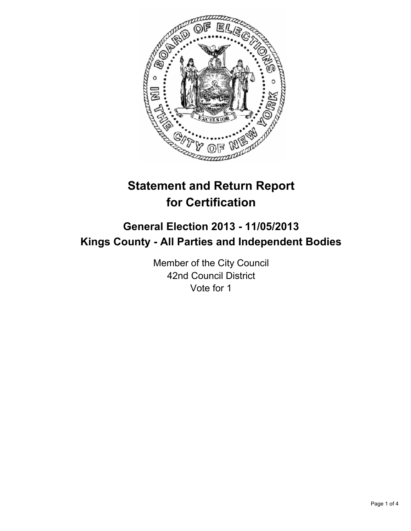

# **Statement and Return Report for Certification**

## **General Election 2013 - 11/05/2013 Kings County - All Parties and Independent Bodies**

Member of the City Council 42nd Council District Vote for 1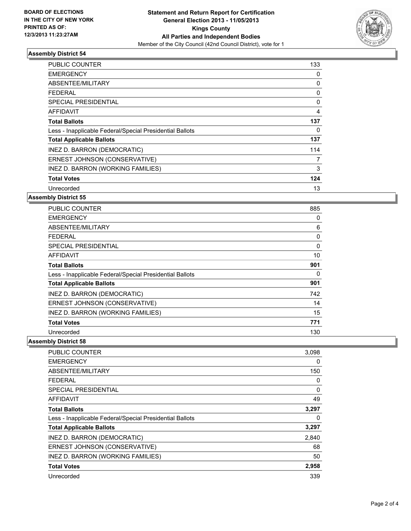

#### **Assembly District 54**

| <b>PUBLIC COUNTER</b>                                    | 133 |
|----------------------------------------------------------|-----|
| <b>EMERGENCY</b>                                         | 0   |
| ABSENTEE/MILITARY                                        | 0   |
| FEDERAL                                                  | 0   |
| SPECIAL PRESIDENTIAL                                     | 0   |
| <b>AFFIDAVIT</b>                                         | 4   |
| <b>Total Ballots</b>                                     | 137 |
| Less - Inapplicable Federal/Special Presidential Ballots | 0   |
| <b>Total Applicable Ballots</b>                          | 137 |
| INEZ D. BARRON (DEMOCRATIC)                              | 114 |
| ERNEST JOHNSON (CONSERVATIVE)                            | 7   |
| INEZ D. BARRON (WORKING FAMILIES)                        | 3   |
| <b>Total Votes</b>                                       | 124 |
| Unrecorded                                               | 13  |

#### **Assembly District 55**

| PUBLIC COUNTER                                           | 885      |
|----------------------------------------------------------|----------|
| <b>EMERGENCY</b>                                         | 0        |
| ABSENTEE/MILITARY                                        | 6        |
| <b>FEDERAL</b>                                           | 0        |
| <b>SPECIAL PRESIDENTIAL</b>                              | $\Omega$ |
| AFFIDAVIT                                                | 10       |
| <b>Total Ballots</b>                                     | 901      |
| Less - Inapplicable Federal/Special Presidential Ballots | 0        |
| <b>Total Applicable Ballots</b>                          | 901      |
| INEZ D. BARRON (DEMOCRATIC)                              | 742      |
| ERNEST JOHNSON (CONSERVATIVE)                            | 14       |
| INEZ D. BARRON (WORKING FAMILIES)                        | 15       |
| <b>Total Votes</b>                                       | 771      |
| Unrecorded                                               | 130      |

**Assembly District 58**

| PUBLIC COUNTER                                           | 3,098 |
|----------------------------------------------------------|-------|
| <b>EMERGENCY</b>                                         | 0     |
| ABSENTEE/MILITARY                                        | 150   |
| FEDERAL                                                  | 0     |
| <b>SPECIAL PRESIDENTIAL</b>                              | 0     |
| AFFIDAVIT                                                | 49    |
| <b>Total Ballots</b>                                     | 3,297 |
| Less - Inapplicable Federal/Special Presidential Ballots | 0     |
| <b>Total Applicable Ballots</b>                          | 3,297 |
| INEZ D. BARRON (DEMOCRATIC)                              | 2,840 |
| ERNEST JOHNSON (CONSERVATIVE)                            | 68    |
| INEZ D. BARRON (WORKING FAMILIES)                        | 50    |
| <b>Total Votes</b>                                       | 2,958 |
| Unrecorded                                               | 339   |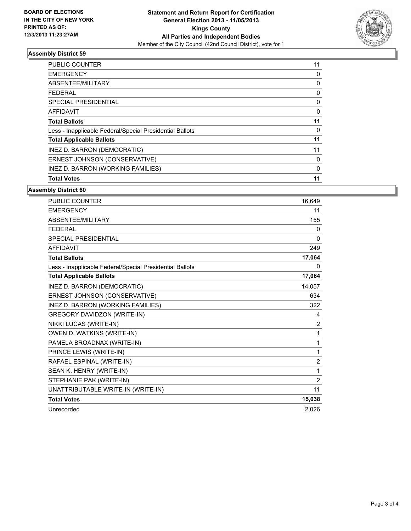

#### **Assembly District 59**

| <b>Total Votes</b>                                       | 11 |
|----------------------------------------------------------|----|
| INEZ D. BARRON (WORKING FAMILIES)                        | 0  |
| ERNEST JOHNSON (CONSERVATIVE)                            | 0  |
| INEZ D. BARRON (DEMOCRATIC)                              | 11 |
| <b>Total Applicable Ballots</b>                          | 11 |
| Less - Inapplicable Federal/Special Presidential Ballots | 0  |
| <b>Total Ballots</b>                                     | 11 |
| <b>AFFIDAVIT</b>                                         | 0  |
| SPECIAL PRESIDENTIAL                                     | 0  |
| FEDERAL                                                  | 0  |
| ABSENTEE/MILITARY                                        | 0  |
| <b>EMERGENCY</b>                                         | 0  |
| PUBLIC COUNTER                                           | 11 |

### **Assembly District 60**

| PUBLIC COUNTER                                           | 16,649         |
|----------------------------------------------------------|----------------|
| <b>EMERGENCY</b>                                         | 11             |
| ABSENTEE/MILITARY                                        | 155            |
| <b>FFDFRAL</b>                                           | $\Omega$       |
| <b>SPECIAL PRESIDENTIAL</b>                              | $\Omega$       |
| <b>AFFIDAVIT</b>                                         | 249            |
| <b>Total Ballots</b>                                     | 17,064         |
| Less - Inapplicable Federal/Special Presidential Ballots | 0              |
| <b>Total Applicable Ballots</b>                          | 17,064         |
| INEZ D. BARRON (DEMOCRATIC)                              | 14,057         |
| ERNEST JOHNSON (CONSERVATIVE)                            | 634            |
| INEZ D. BARRON (WORKING FAMILIES)                        | 322            |
| GREGORY DAVIDZON (WRITE-IN)                              | 4              |
| NIKKI LUCAS (WRITE-IN)                                   | $\overline{2}$ |
| OWEN D. WATKINS (WRITE-IN)                               | 1              |
| PAMELA BROADNAX (WRITE-IN)                               | 1              |
| PRINCE LEWIS (WRITE-IN)                                  | 1              |
| RAFAEL ESPINAL (WRITE-IN)                                | $\overline{2}$ |
| SEAN K. HENRY (WRITE-IN)                                 | 1              |
| STEPHANIE PAK (WRITE-IN)                                 | $\overline{2}$ |
| UNATTRIBUTABLE WRITE-IN (WRITE-IN)                       | 11             |
| <b>Total Votes</b>                                       | 15,038         |
| Unrecorded                                               | 2,026          |